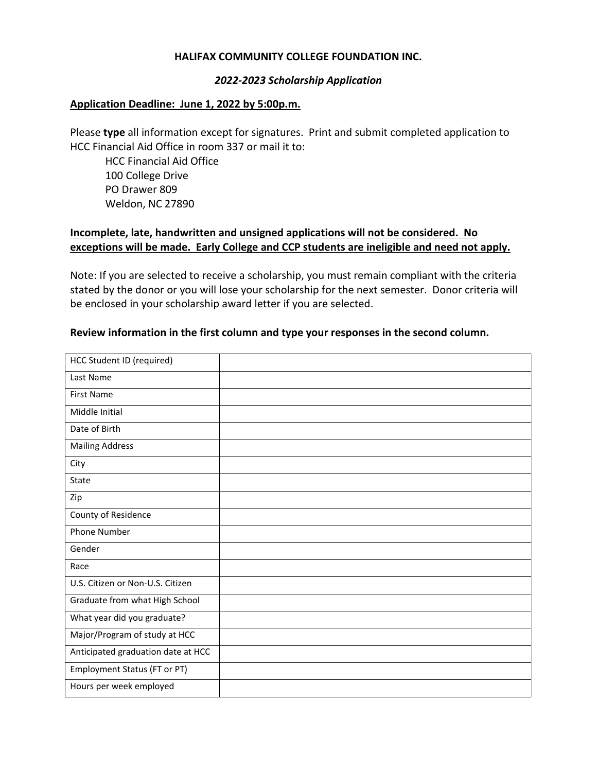## **HALIFAX COMMUNITY COLLEGE FOUNDATION INC.**

# *2022-2023 Scholarship Application*

# **Application Deadline: June 1, 2022 by 5:00p.m.**

Please **type** all information except for signatures. Print and submit completed application to HCC Financial Aid Office in room 337 or mail it to:

HCC Financial Aid Office 100 College Drive PO Drawer 809 Weldon, NC 27890

# **Incomplete, late, handwritten and unsigned applications will not be considered. No exceptions will be made. Early College and CCP students are ineligible and need not apply.**

Note: If you are selected to receive a scholarship, you must remain compliant with the criteria stated by the donor or you will lose your scholarship for the next semester. Donor criteria will be enclosed in your scholarship award letter if you are selected.

# **Review information in the first column and type your responses in the second column.**

| HCC Student ID (required)          |  |
|------------------------------------|--|
| Last Name                          |  |
| <b>First Name</b>                  |  |
| Middle Initial                     |  |
| Date of Birth                      |  |
| <b>Mailing Address</b>             |  |
| City                               |  |
| State                              |  |
| Zip                                |  |
| County of Residence                |  |
| <b>Phone Number</b>                |  |
| Gender                             |  |
| Race                               |  |
| U.S. Citizen or Non-U.S. Citizen   |  |
| Graduate from what High School     |  |
| What year did you graduate?        |  |
| Major/Program of study at HCC      |  |
| Anticipated graduation date at HCC |  |
| Employment Status (FT or PT)       |  |
| Hours per week employed            |  |